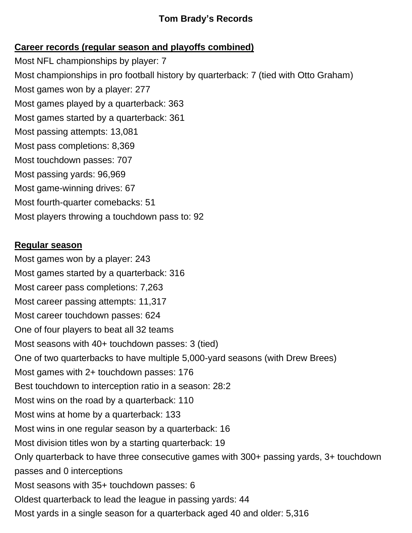## **Tom Brady's Records**

# **Career records (regular season and playoffs combined)**

Most NFL championships by player: 7 Most championships in pro football history by quarterback: 7 (tied with Otto Graham) Most games won by a player: 277 Most games played by a quarterback: 363 Most games started by a quarterback: 361 Most passing attempts: 13,081 Most pass completions: 8,369 Most touchdown passes: 707 Most passing yards: 96,969 Most game-winning drives: 67 Most fourth-quarter comebacks: 51 Most players throwing a touchdown pass to: 92

#### **Regular season**

Most games won by a player: 243 Most games started by a quarterback: 316 Most career pass completions: 7,263 Most career passing attempts: 11,317 Most career touchdown passes: 624 One of four players to beat all 32 teams Most seasons with 40+ touchdown passes: 3 (tied) One of two quarterbacks to have multiple 5,000-yard seasons (with Drew Brees) Most games with 2+ touchdown passes: 176 Best touchdown to interception ratio in a season: 28:2 Most wins on the road by a quarterback: 110 Most wins at home by a quarterback: 133 Most wins in one regular season by a quarterback: 16 Most division titles won by a starting quarterback: 19 Only quarterback to have three consecutive games with 300+ passing yards, 3+ touchdown passes and 0 interceptions Most seasons with 35+ touchdown passes: 6 Oldest quarterback to lead the league in passing yards: 44 Most yards in a single season for a quarterback aged 40 and older: 5,316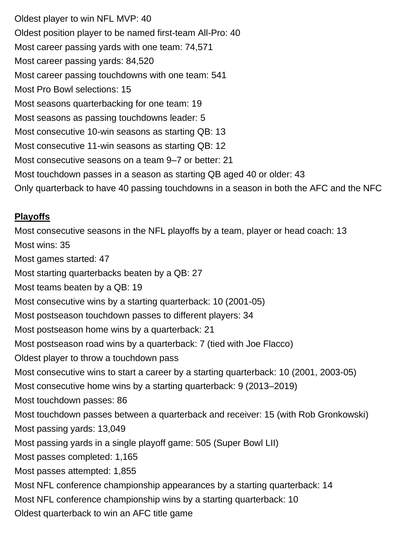Oldest player to win NFL MVP: 40 Oldest position player to be named first-team All-Pro: 40 Most career passing yards with one team: 74,571 Most career passing yards: 84,520 Most career passing touchdowns with one team: 541 Most Pro Bowl selections: 15 Most seasons quarterbacking for one team: 19 Most seasons as passing touchdowns leader: 5 Most consecutive 10-win seasons as starting QB: 13 Most consecutive 11-win seasons as starting QB: 12 Most consecutive seasons on a team 9–7 or better: 21 Most touchdown passes in a season as starting QB aged 40 or older: 43 Only quarterback to have 40 passing touchdowns in a season in both the AFC and the NFC

## **Playoffs**

Most consecutive seasons in the NFL playoffs by a team, player or head coach: 13 Most wins: 35 Most games started: 47 Most starting quarterbacks beaten by a QB: 27 Most teams beaten by a QB: 19 Most consecutive wins by a starting quarterback: 10 (2001-05) Most postseason touchdown passes to different players: 34 Most postseason home wins by a quarterback: 21 Most postseason road wins by a quarterback: 7 (tied with Joe Flacco) Oldest player to throw a touchdown pass Most consecutive wins to start a career by a starting quarterback: 10 (2001, 2003-05) Most consecutive home wins by a starting quarterback: 9 (2013–2019) Most touchdown passes: 86 Most touchdown passes between a quarterback and receiver: 15 (with Rob Gronkowski) Most passing yards: 13,049 Most passing yards in a single playoff game: 505 (Super Bowl LII) Most passes completed: 1,165 Most passes attempted: 1,855 Most NFL conference championship appearances by a starting quarterback: 14 Most NFL conference championship wins by a starting quarterback: 10 Oldest quarterback to win an AFC title game